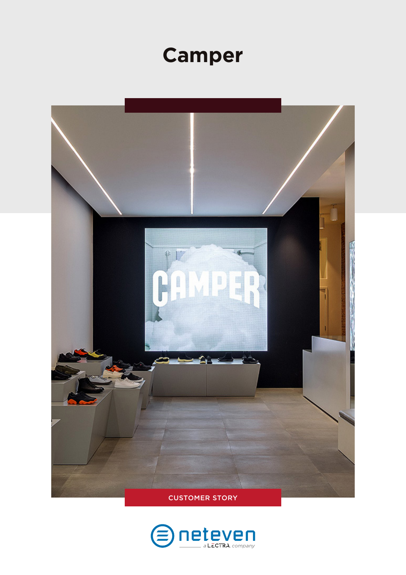# **Camper**



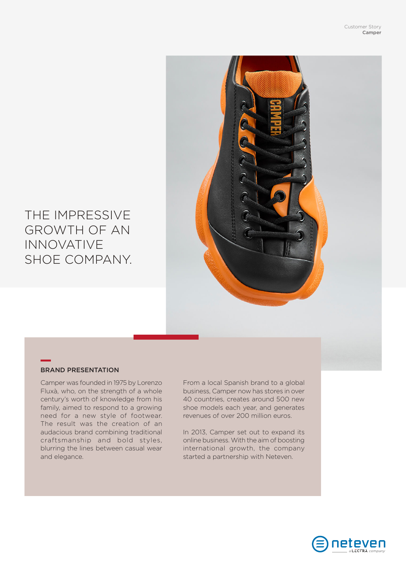

## THE IMPRESSIVE GROWTH OF AN INNOVATIVE SHOE COMPANY.

#### BRAND PRESENTATION

Camper was founded in 1975 by Lorenzo Fluxà, who, on the strength of a whole century's worth of knowledge from his family, aimed to respond to a growing need for a new style of footwear. The result was the creation of an audacious brand combining traditional craftsmanship and bold styles, blurring the lines between casual wear and elegance.

From a local Spanish brand to a global business, Camper now has stores in over 40 countries, creates around 500 new shoe models each year, and generates revenues of over 200 million euros.

In 2013, Camper set out to expand its online business. With the aim of boosting international growth, the company started a partnership with Neteven.

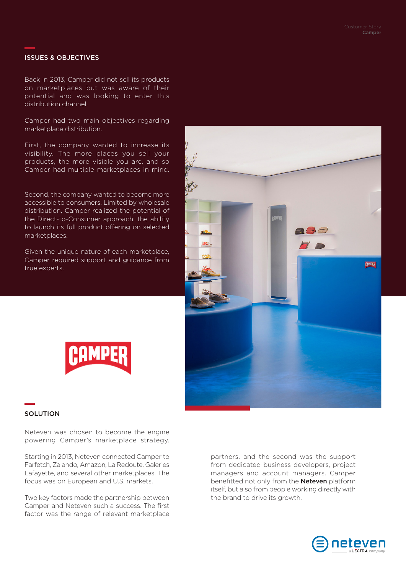#### ISSUES & OBJECTIVES

Back in 2013, Camper did not sell its products on marketplaces but was aware of their potential and was looking to enter this distribution channel.

Camper had two main objectives regarding marketplace distribution.

First, the company wanted to increase its visibility. The more places you sell your products, the more visible you are, and so Camper had multiple marketplaces in mind.

Second, the company wanted to become more accessible to consumers. Limited by wholesale distribution, Camper realized the potential of the Direct-to-Consumer approach: the ability to launch its full product offering on selected marketplaces.

Given the unique nature of each marketplace, Camper required support and guidance from true experts.





#### **SOLUTION**

Neteven was chosen to become the engine powering Camper's marketplace strategy.

Starting in 2013, Neteven connected Camper to Farfetch, Zalando, Amazon, La Redoute, Galeries Lafayette, and several other marketplaces. The focus was on European and U.S. markets.

Two key factors made the partnership between Camper and Neteven such a success. The first factor was the range of relevant marketplace

partners, and the second was the support from dedicated business developers, project managers and account managers. Camper benefitted not only from the **Neteven** platform itself, but also from people working directly with the brand to drive its growth.